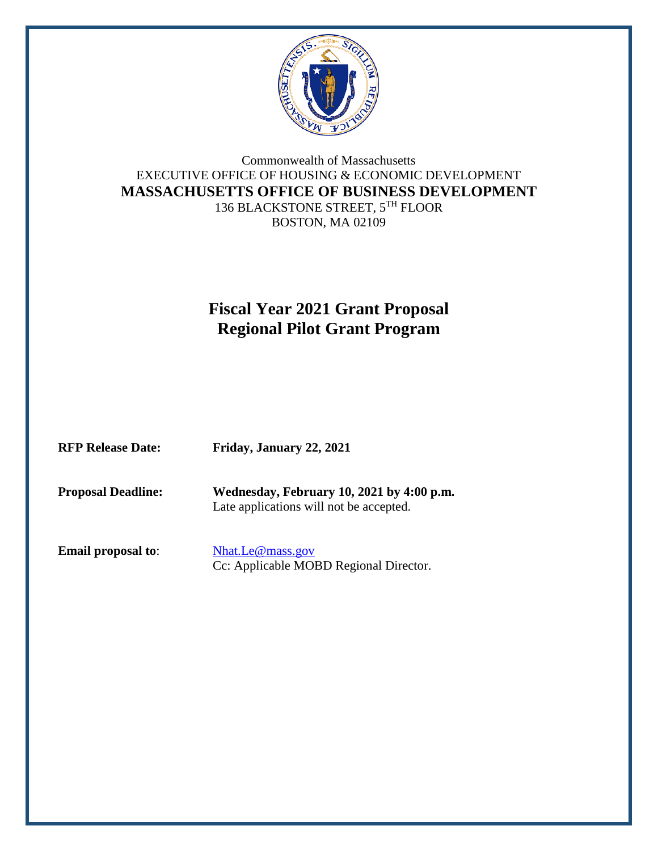

#### Commonwealth of Massachusetts EXECUTIVE OFFICE OF HOUSING & ECONOMIC DEVELOPMENT **MASSACHUSETTS OFFICE OF BUSINESS DEVELOPMENT** 136 BLACKSTONE STREET, 5TH FLOOR BOSTON, MA 02109

# **Fiscal Year 2021 Grant Proposal Regional Pilot Grant Program**

| <b>RFP Release Date:</b> | Friday, January 22, 2021 |
|--------------------------|--------------------------|
|                          |                          |

**Proposal Deadline: Wednesday, February 10, 2021 by 4:00 p.m.** Late applications will not be accepted.

**Email proposal to:** [Nhat.Le@mass.gov](mailto:Nhat.Le@mass.gov)

Cc: Applicable MOBD Regional Director.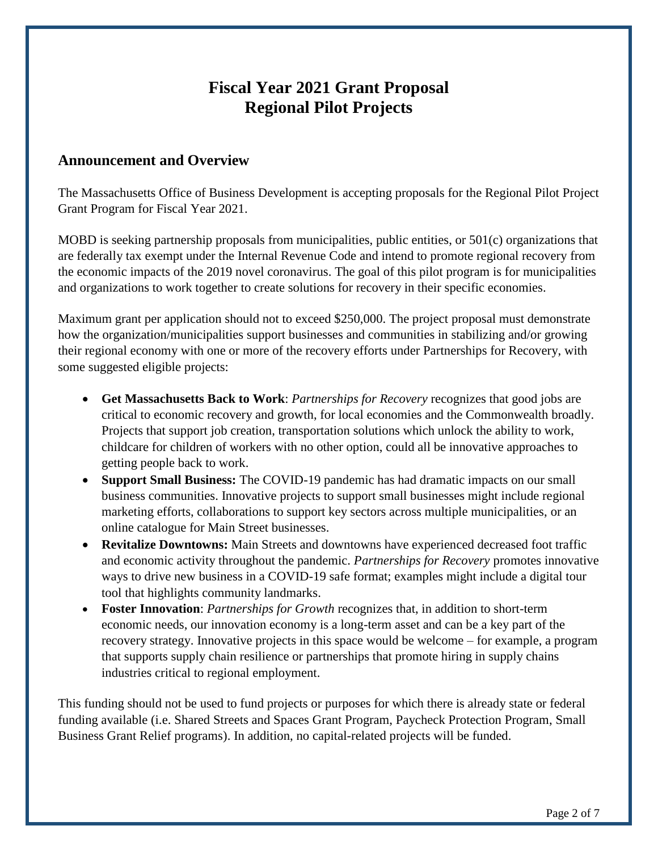### **Fiscal Year 2021 Grant Proposal Regional Pilot Projects**

#### **Announcement and Overview**

The Massachusetts Office of Business Development is accepting proposals for the Regional Pilot Project Grant Program for Fiscal Year 2021.

MOBD is seeking partnership proposals from municipalities, public entities, or 501(c) organizations that are federally tax exempt under the Internal Revenue Code and intend to promote regional recovery from the economic impacts of the 2019 novel coronavirus. The goal of this pilot program is for municipalities and organizations to work together to create solutions for recovery in their specific economies.

Maximum grant per application should not to exceed \$250,000. The project proposal must demonstrate how the organization/municipalities support businesses and communities in stabilizing and/or growing their regional economy with one or more of the recovery efforts under Partnerships for Recovery, with some suggested eligible projects:

- **Get Massachusetts Back to Work**: *Partnerships for Recovery* recognizes that good jobs are critical to economic recovery and growth, for local economies and the Commonwealth broadly. Projects that support job creation, transportation solutions which unlock the ability to work, childcare for children of workers with no other option, could all be innovative approaches to getting people back to work.
- **Support Small Business:** The COVID-19 pandemic has had dramatic impacts on our small business communities. Innovative projects to support small businesses might include regional marketing efforts, collaborations to support key sectors across multiple municipalities, or an online catalogue for Main Street businesses.
- **Revitalize Downtowns:** Main Streets and downtowns have experienced decreased foot traffic and economic activity throughout the pandemic. *Partnerships for Recovery* promotes innovative ways to drive new business in a COVID-19 safe format; examples might include a digital tour tool that highlights community landmarks.
- **Foster Innovation**: *Partnerships for Growth* recognizes that, in addition to short-term economic needs, our innovation economy is a long-term asset and can be a key part of the recovery strategy. Innovative projects in this space would be welcome – for example, a program that supports supply chain resilience or partnerships that promote hiring in supply chains industries critical to regional employment.

This funding should not be used to fund projects or purposes for which there is already state or federal funding available (i.e. Shared Streets and Spaces Grant Program, Paycheck Protection Program, Small Business Grant Relief programs). In addition, no capital-related projects will be funded.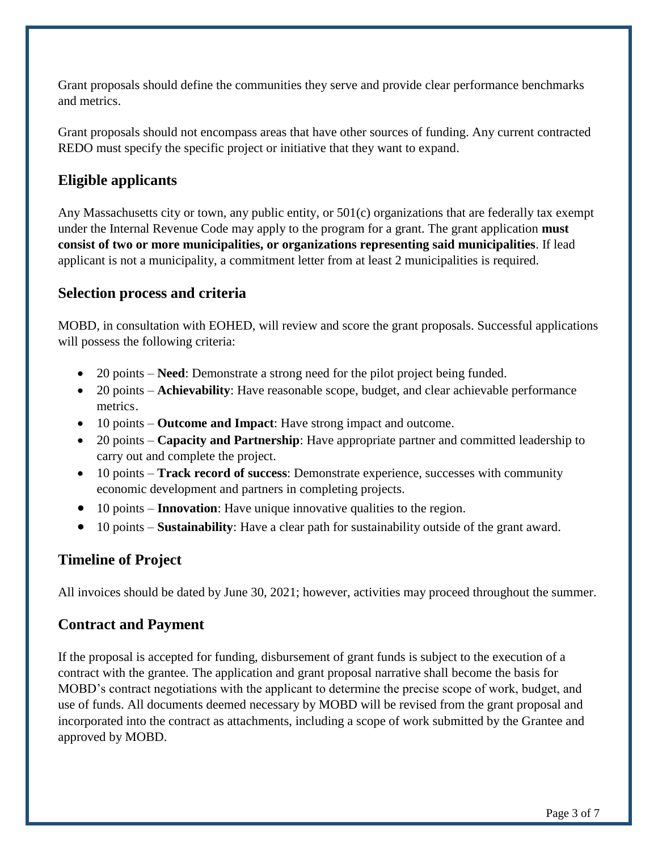Grant proposals should define the communities they serve and provide clear performance benchmarks and metrics.

Grant proposals should not encompass areas that have other sources of funding. Any current contracted REDO must specify the specific project or initiative that they want to expand.

### **Eligible applicants**

Any Massachusetts city or town, any public entity, or 501(c) organizations that are federally tax exempt under the Internal Revenue Code may apply to the program for a grant. The grant application **must consist of two or more municipalities, or organizations representing said municipalities**. If lead applicant is not a municipality, a commitment letter from at least 2 municipalities is required.

#### **Selection process and criteria**

MOBD, in consultation with EOHED, will review and score the grant proposals. Successful applications will possess the following criteria:

- 20 points **Need**: Demonstrate a strong need for the pilot project being funded.
- 20 points **Achievability**: Have reasonable scope, budget, and clear achievable performance metrics.
- 10 points **Outcome and Impact**: Have strong impact and outcome.
- 20 points **Capacity and Partnership**: Have appropriate partner and committed leadership to carry out and complete the project.
- 10 points **Track record of success**: Demonstrate experience, successes with community economic development and partners in completing projects.
- 10 points **Innovation**: Have unique innovative qualities to the region.
- 10 points **Sustainability**: Have a clear path for sustainability outside of the grant award.

### **Timeline of Project**

All invoices should be dated by June 30, 2021; however, activities may proceed throughout the summer.

### **Contract and Payment**

If the proposal is accepted for funding, disbursement of grant funds is subject to the execution of a contract with the grantee. The application and grant proposal narrative shall become the basis for MOBD's contract negotiations with the applicant to determine the precise scope of work, budget, and use of funds. All documents deemed necessary by MOBD will be revised from the grant proposal and incorporated into the contract as attachments, including a scope of work submitted by the Grantee and approved by MOBD.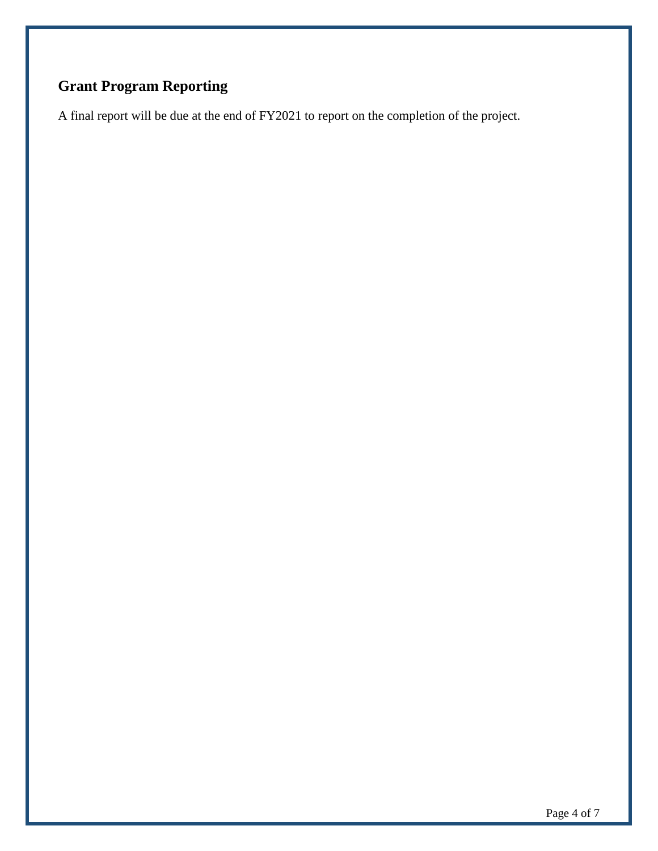# **Grant Program Reporting**

A final report will be due at the end of FY2021 to report on the completion of the project.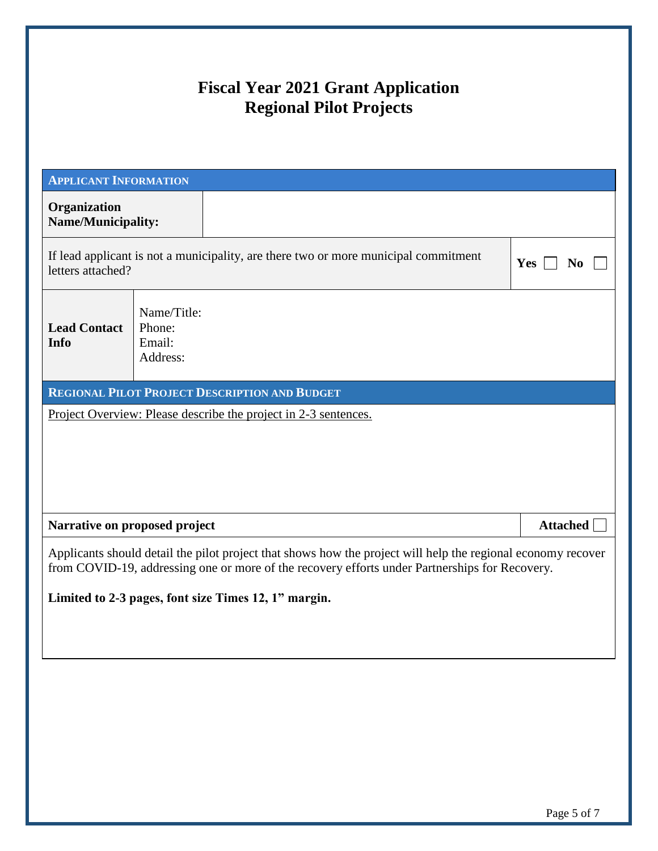## **Fiscal Year 2021 Grant Application Regional Pilot Projects**

| <b>APPLICANT INFORMATION</b>                                                                                                                                                                                   |                                                                                     |                              |  |  |  |
|----------------------------------------------------------------------------------------------------------------------------------------------------------------------------------------------------------------|-------------------------------------------------------------------------------------|------------------------------|--|--|--|
| Organization<br>Name/Municipality:                                                                                                                                                                             |                                                                                     |                              |  |  |  |
| letters attached?                                                                                                                                                                                              | If lead applicant is not a municipality, are there two or more municipal commitment | <b>Yes</b><br>N <sub>0</sub> |  |  |  |
| <b>Lead Contact</b><br>Info                                                                                                                                                                                    | Name/Title:<br>Phone:<br>Email:<br>Address:                                         |                              |  |  |  |
|                                                                                                                                                                                                                | <b>REGIONAL PILOT PROJECT DESCRIPTION AND BUDGET</b>                                |                              |  |  |  |
|                                                                                                                                                                                                                | <u>Project Overview: Please describe the project in 2-3 sentences.</u>              |                              |  |  |  |
|                                                                                                                                                                                                                |                                                                                     |                              |  |  |  |
|                                                                                                                                                                                                                |                                                                                     |                              |  |  |  |
|                                                                                                                                                                                                                |                                                                                     |                              |  |  |  |
|                                                                                                                                                                                                                |                                                                                     |                              |  |  |  |
| Narrative on proposed project                                                                                                                                                                                  |                                                                                     | Attached                     |  |  |  |
| Applicants should detail the pilot project that shows how the project will help the regional economy recover<br>from COVID-19, addressing one or more of the recovery efforts under Partnerships for Recovery. |                                                                                     |                              |  |  |  |
|                                                                                                                                                                                                                | Limited to 2-3 pages, font size Times 12, 1" margin.                                |                              |  |  |  |
|                                                                                                                                                                                                                |                                                                                     |                              |  |  |  |
|                                                                                                                                                                                                                |                                                                                     |                              |  |  |  |
|                                                                                                                                                                                                                |                                                                                     |                              |  |  |  |
|                                                                                                                                                                                                                |                                                                                     |                              |  |  |  |
|                                                                                                                                                                                                                |                                                                                     |                              |  |  |  |
|                                                                                                                                                                                                                |                                                                                     |                              |  |  |  |
|                                                                                                                                                                                                                |                                                                                     |                              |  |  |  |
|                                                                                                                                                                                                                |                                                                                     |                              |  |  |  |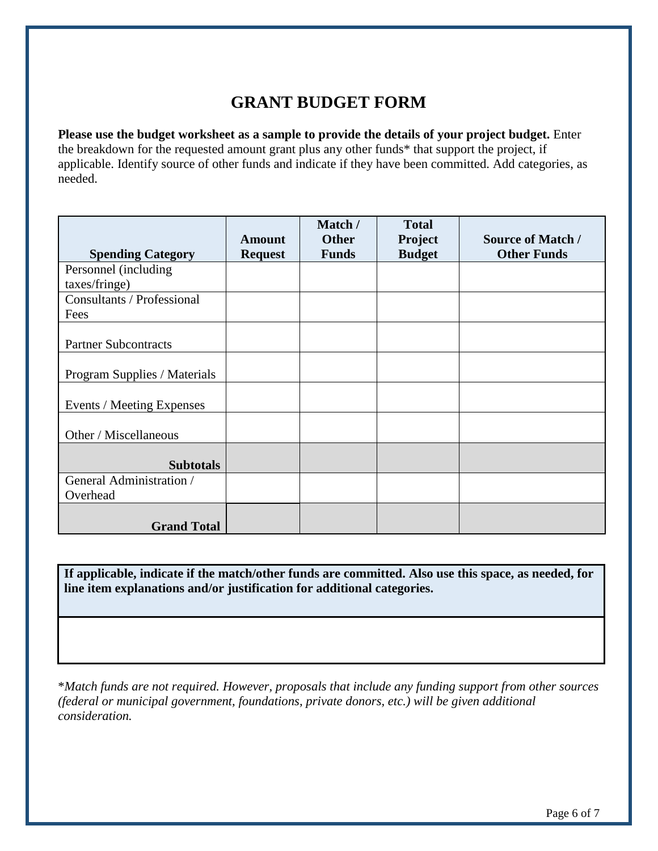### **GRANT BUDGET FORM**

**Please use the budget worksheet as a sample to provide the details of your project budget.** Enter the breakdown for the requested amount grant plus any other funds\* that support the project, if applicable. Identify source of other funds and indicate if they have been committed. Add categories, as needed.

|                              | <b>Amount</b>  | Match /<br><b>Other</b> | <b>Total</b><br>Project | <b>Source of Match /</b> |
|------------------------------|----------------|-------------------------|-------------------------|--------------------------|
| <b>Spending Category</b>     | <b>Request</b> | <b>Funds</b>            | <b>Budget</b>           | <b>Other Funds</b>       |
| Personnel (including         |                |                         |                         |                          |
| taxes/fringe)                |                |                         |                         |                          |
| Consultants / Professional   |                |                         |                         |                          |
| Fees                         |                |                         |                         |                          |
| <b>Partner Subcontracts</b>  |                |                         |                         |                          |
| Program Supplies / Materials |                |                         |                         |                          |
| Events / Meeting Expenses    |                |                         |                         |                          |
| Other / Miscellaneous        |                |                         |                         |                          |
| <b>Subtotals</b>             |                |                         |                         |                          |
| General Administration /     |                |                         |                         |                          |
| Overhead                     |                |                         |                         |                          |
| <b>Grand Total</b>           |                |                         |                         |                          |

**If applicable, indicate if the match/other funds are committed. Also use this space, as needed, for line item explanations and/or justification for additional categories.**

\**Match funds are not required. However, proposals that include any funding support from other sources (federal or municipal government, foundations, private donors, etc.) will be given additional consideration.*